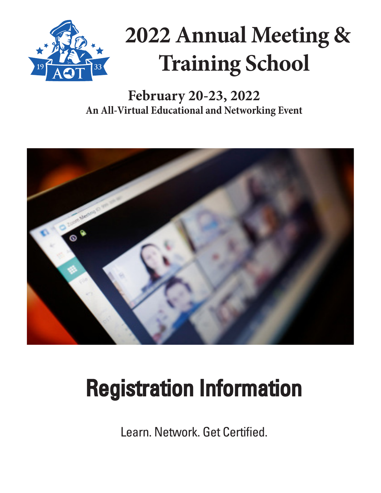

# **2022 Annual Meeting & Training School**

#### **February 20-23, 2022 An All-Virtual Educational and Networking Event**



# Registration Information

Learn. Network. Get Certified.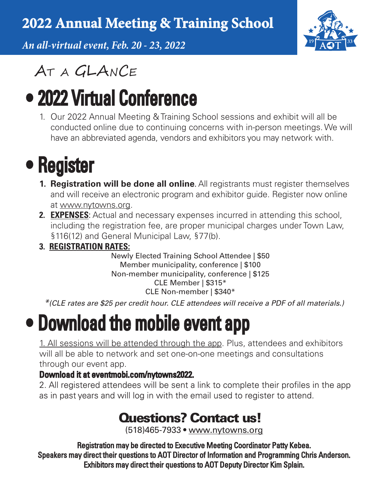### **2022 Annual Meeting & Training School**

*An all-virtual event, Feb. 20 - 23, 2022*



### AT A GLANCE

## • 2022 Virtual Conference

1. Our 2022 Annual Meeting & Training School sessions and exhibit will all be conducted online due to continuing concerns with in-person meetings. We will have an abbreviated agenda, vendors and exhibitors you may network with.

## • Register

- **1. Registration will be done all online**. All registrants must register themselves and will receive an electronic program and exhibitor guide. Register now online at www.nytowns.org.
- **2. EXPENSES**: Actual and necessary expenses incurred in attending this school, including the registration fee, are proper municipal charges under Town Law, §116(12) and General Municipal Law, §77(b).
- **3. REGISTRATION RATES:**

Newly Elected Training School Attendee | \$50 Member municipality, conference | \$100 Non-member municipality, conference | \$125 CLE Member | \$315\* CLE Non-member | \$340\*

*\*(CLE rates are \$25 per credit hour. CLE attendees will receive a PDF of all materials.)*

### • Download the mobile event app

1. All sessions will be attended through the app. Plus, attendees and exhibitors will all be able to network and set one-on-one meetings and consultations through our event app.

#### Download it at eventmobi.com/nytowns2022.

2. All registered attendees will be sent a link to complete their profiles in the app as in past years and will log in with the email used to register to attend.

### Questions? Contact us!

(518)465-7933 • www.nytowns.org

Registration may be directed to Executive Meeting Coordinator Patty Kebea. Speakers may direct their questions to AOT Director of Information and Programming Chris Anderson. Exhibitors may direct their questions to AOT Deputy Director Kim Splain.